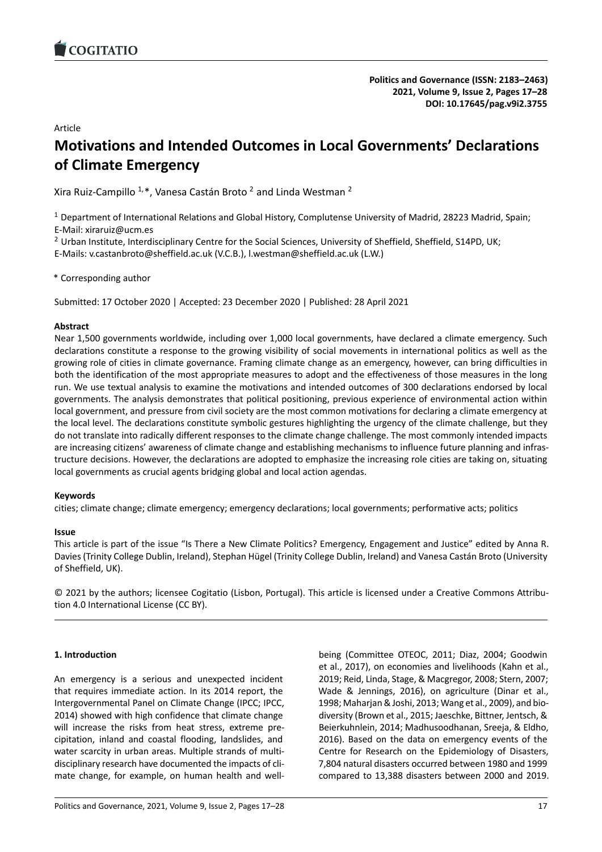# Article

# **Motivations and Intended Outcomes in Local Government[s' Declarations](https://doi.org/10.17645/pag.v9i2.3755) of Climate Emergency**

Xira Ruiz-Campillo  $1,*$ , Vanesa Castán Broto  $^2$  and Linda Westman  $^2$ 

<sup>1</sup> Department of International Relations and Global History, Complutense University of Madrid, 28223 Madrid, Spain; E-Mail: xiraruiz@ucm.es

<sup>2</sup> Urban Institute, Interdisciplinary Centre for the Social Sciences, University of Sheffield, Sheffield, S14PD, UK;

E-Mails: v.castanbroto@sheffield.ac.uk (V.C.B.), l.westman@sheffield.ac.uk (L.W.)

\* Corresponding author

Submitted: 17 October 2020 | Accepted: 23 December 2020 | Published: 28 April 2021

### **Abstract**

Near 1,500 governments worldwide, including over 1,000 local governments, have declared a climate emergency. Such declarations constitute a response to the growing visibility of social movements in international politics as well as the growing role of cities in climate governance. Framing climate change as an emergency, however, can bring difficulties in both the identification of the most appropriate measures to adopt and the effectiveness of those measures in the long run. We use textual analysis to examine the motivations and intended outcomes of 300 declarations endorsed by local governments. The analysis demonstrates that political positioning, previous experience of environmental action within local government, and pressure from civil society are the most common motivations for declaring a climate emergency at the local level. The declarations constitute symbolic gestures highlighting the urgency of the climate challenge, but they do not translate into radically different responses to the climate change challenge. The most commonly intended impacts are increasing citizens' awareness of climate change and establishing mechanisms to influence future planning and infrastructure decisions. However, the declarations are adopted to emphasize the increasing role cities are taking on, situating local governments as crucial agents bridging global and local action agendas.

### **Keywords**

cities; climate change; climate emergency; emergency declarations; local governments; performative acts; politics

# **Issue**

This article is part of the issue "Is There a New Climate Politics? Emergency, Engagement and Justice" edited by Anna R. Davies (Trinity College Dublin, Ireland), Stephan Hügel (Trinity College Dublin, Ireland) and Vanesa Castán Broto (University of Sheffield, UK).

© 2021 by the authors; licensee Cogitatio (Lisbon, Portugal). This article is licensed under a Creative Commons Attribution 4.0 International License (CC BY).

# **1. Introduction**

An emergency is a serious and unexpected incident that requires immediate action. In its 2014 report, the Intergovernmental Panel on Climate Change (IPCC; IPCC, 2014) showed with high confidence that climate change will increase the risks from heat stress, extreme precipitation, inland and coastal flooding, landslides, and water scarcity in urban areas. Multiple strands of multidisciplinary research have documented the impacts of climate change, for example, on human health and well-

being (Committee OTEOC, 2011; Diaz, 2004; Goodwin et al., 2017), on economies and livelihoods (Kahn et al., 2019; Reid, Linda, Stage, & Macgregor, 2008; Stern, 2007; Wade & Jennings, 2016), on agriculture (Dinar et al., 1998; Maharjan & Joshi, 2013; Wang et al., 2009), and biodiversity (Brown et al., 2015; Jaeschke, Bittner, Jentsch, & Beierkuhnlein, 2014; Madhusoodhanan, Sreeja, & Eldho, 2016). Based on the data on emergency events of the Centre for Research on the Epidemiology of Disasters, 7,804 natural disasters occurred between 1980 and 1999 compared to 13,388 disasters between 2000 and 2019.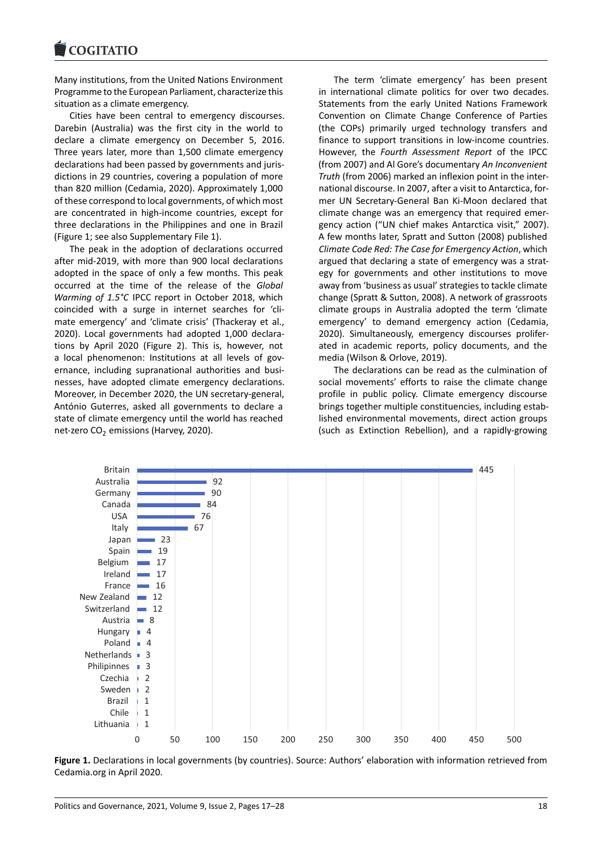#### COGHALIO

Many institutions, from the United Nations Environment [Programme to the Eu](https://www.cogitatiopress.com)ropean Parliament, characterize this situation as a climate emergency.

Cities have been central to emergency discourses. Darebin (Australia) was the first city in the world to declare a climate emergency on December 5, 2016. Three years later, more than 1,500 climate emergency declarations had been passed by governments and jurisdictions in 29 countries, covering a population of more than 820 million (Cedamia, 2020). Approximately 1,000 of these correspond to local governments, of which most are concentrated in high-income countries, except for three declarations in the Philippines and one in Brazil (Figure 1; see also Supplementary File 1).

The peak in the adoption of declarations occurred after mid-2019, with more than 900 local declarations adopted in the space of only a few months. This peak occurred at the time of the release of the *Global Warming of 1.5°C* IPCC report in October 2018, which coincided with a surge in internet searches for 'climate emergency' and 'climate crisis' (Thackeray et al., 2020). Local governments had adopted 1,000 declarations by April 2020 (Figure 2). This is, however, not a local phenomenon: Institutions at all levels of governance, including supranational authorities and businesses, have adopted climate emergency declarations. Moreover, in December 2020, the UN secretary-general, António Guterres, asked all governments to declare a state of climate emergency until the world has reached net-zero  $CO<sub>2</sub>$  emissions (Harvey, 2020).

The term 'climate emergency' has been present in international climate politics for over two decades. Statements from the early United Nations Framework Convention on Climate Change Conference of Parties (the COPs) primarily urged technology transfers and finance to support transitions in low-income countries. However, the *Fourth Assessment Report* of the IPCC (from 2007) and Al Gore's documentary *An Inconvenient Truth* (from 2006) marked an inflexion point in the international discourse. In 2007, after a visit to Antarctica, former UN Secretary-General Ban Ki-Moon declared that climate change was an emergency that required emergency action ("UN chief makes Antarctica visit," 2007). A few months later, Spratt and Sutton (2008) published *Climate Code Red: The Case for Emergency Action*, which argued that declaring a state of emergency was a strategy for governments and other institutions to move away from 'business as usual' strategies to tackle climate change (Spratt & Sutton, 2008). A network of grassroots climate groups in Australia adopted the term 'climate emergency' to demand emergency action (Cedamia, 2020). Simultaneously, emergency discourses proliferated in academic reports, policy documents, and the media (Wilson & Orlove, 2019).

The declarations can be read as the culmination of social movements' efforts to raise the climate change profile in public policy. Climate emergency discourse brings together multiple constituencies, including established environmental movements, direct action groups (such as Extinction Rebellion), and a rapidly-growing



**Figure 1.** Declarations in local governments (by countries). Source: Authors' elaboration with information retrieved from Cedamia.org in April 2020.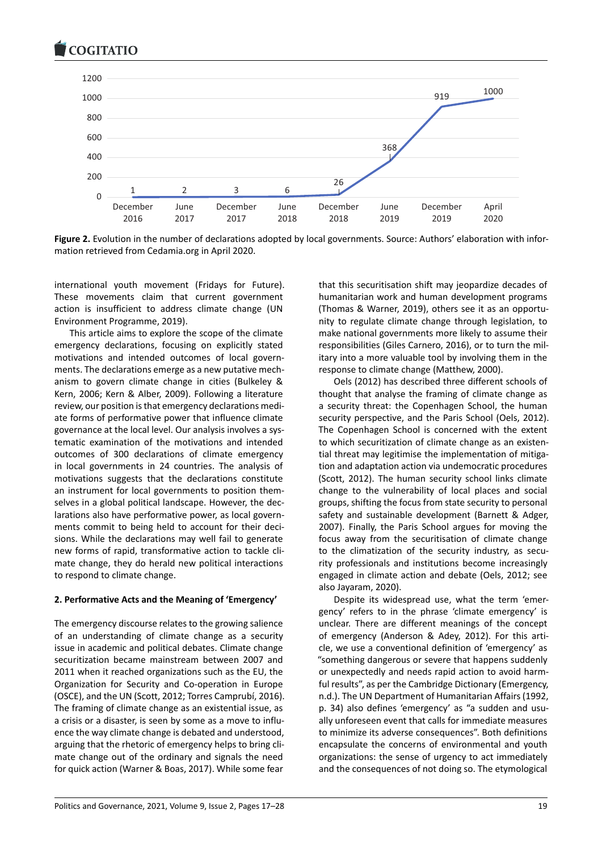

**Figure 2.** Evolution in the number of declarations adopted by local governments. Source: Authors' elaboration with information retrieved from Cedamia.org in April 2020.

international youth movement (Fridays for Future). These movements claim that current government action is insufficient to address climate change (UN Environment Programme, 2019).

This article aims to explore the scope of the climate emergency declarations, focusing on explicitly stated motivations and intended outcomes of local governments. The declarations emerge as a new putative mechanism to govern climate change in cities (Bulkeley & Kern, 2006; Kern & Alber, 2009). Following a literature review, our position is that emergency declarations mediate forms of performative power that influence climate governance at the local level. Our analysis involves a systematic examination of the motivations and intended outcomes of 300 declarations of climate emergency in local governments in 24 countries. The analysis of motivations suggests that the declarations constitute an instrument for local governments to position themselves in a global political landscape. However, the declarations also have performative power, as local governments commit to being held to account for their decisions. While the declarations may well fail to generate new forms of rapid, transformative action to tackle climate change, they do herald new political interactions to respond to climate change.

### **2. Performative Acts and the Meaning of 'Emergency'**

The emergency discourse relates to the growing salience of an understanding of climate change as a security issue in academic and political debates. Climate change securitization became mainstream between 2007 and 2011 when it reached organizations such as the EU, the Organization for Security and Co-operation in Europe (OSCE), and the UN (Scott, 2012; Torres Camprubí, 2016). The framing of climate change as an existential issue, as a crisis or a disaster, is seen by some as a move to influence the way climate change is debated and understood, arguing that the rhetoric of emergency helps to bring climate change out of the ordinary and signals the need for quick action (Warner & Boas, 2017). While some fear

that this securitisation shift may jeopardize decades of humanitarian work and human development programs (Thomas & Warner, 2019), others see it as an opportunity to regulate climate change through legislation, to make national governments more likely to assume their responsibilities (Giles Carnero, 2016), or to turn the military into a more valuable tool by involving them in the response to climate change (Matthew, 2000).

Oels (2012) has described three different schools of thought that analyse the framing of climate change as a security threat: the Copenhagen School, the human security perspective, and the Paris School (Oels, 2012). The Copenhagen School is concerned with the extent to which securitization of climate change as an existential threat may legitimise the implementation of mitigation and adaptation action via undemocratic procedures (Scott, 2012). The human security school links climate change to the vulnerability of local places and social groups, shifting the focus from state security to personal safety and sustainable development (Barnett & Adger, 2007). Finally, the Paris School argues for moving the focus away from the securitisation of climate change to the climatization of the security industry, as security professionals and institutions become increasingly engaged in climate action and debate (Oels, 2012; see also Jayaram, 2020).

Despite its widespread use, what the term 'emergency' refers to in the phrase 'climate emergency' is unclear. There are different meanings of the concept of emergency (Anderson & Adey, 2012). For this article, we use a conventional definition of 'emergency' as "something dangerous or severe that happens suddenly or unexpectedly and needs rapid action to avoid harmful results", as per the Cambridge Dictionary (Emergency, n.d.). The UN Department of Humanitarian Affairs (1992, p. 34) also defines 'emergency' as "a sudden and usually unforeseen event that calls for immediate measures to minimize its adverse consequences". Both definitions encapsulate the concerns of environmental and youth organizations: the sense of urgency to act immediately and the consequences of not doing so. The etymological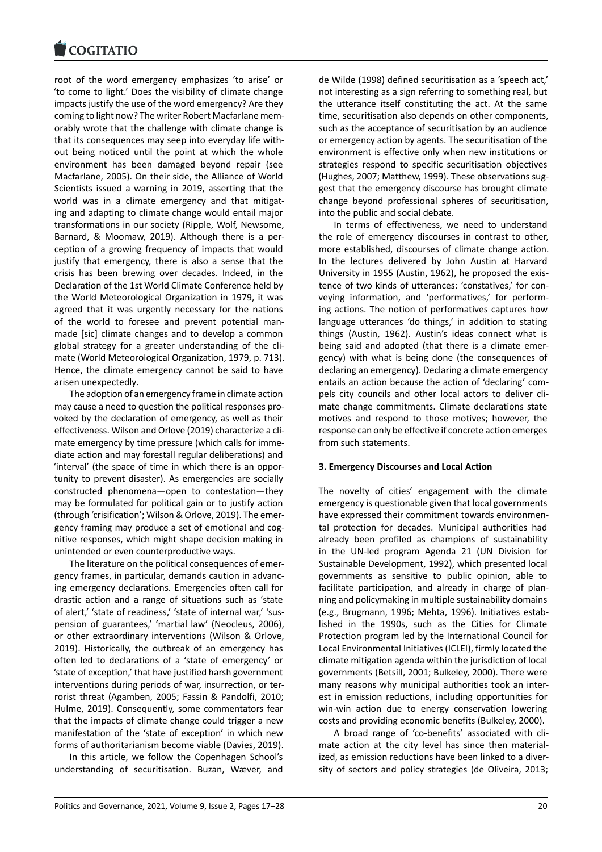root of the word emergency emphasizes 'to arise' or ['to come to light.' D](https://www.cogitatiopress.com)oes the visibility of climate change impacts justify the use of the word emergency? Are they coming to light now? The writer Robert Macfarlane memorably wrote that the challenge with climate change is that its consequences may seep into everyday life without being noticed until the point at which the whole environment has been damaged beyond repair (see Macfarlane, 2005). On their side, the Alliance of World Scientists issued a warning in 2019, asserting that the world was in a climate emergency and that mitigating and adapting to climate change would entail major transformations in our society (Ripple, Wolf, Newsome, Barnard, & Moomaw, 2019). Although there is a perception of a growing frequency of impacts that would justify that emergency, there is also a sense that the crisis has been brewing over decades. Indeed, in the Declaration of the 1st World Climate Conference held by the World Meteorological Organization in 1979, it was agreed that it was urgently necessary for the nations of the world to foresee and prevent potential manmade [sic] climate changes and to develop a common global strategy for a greater understanding of the climate (World Meteorological Organization, 1979, p. 713). Hence, the climate emergency cannot be said to have arisen unexpectedly.

The adoption of an emergency frame in climate action may cause a need to question the political responses provoked by the declaration of emergency, as well as their effectiveness. Wilson and Orlove (2019) characterize a climate emergency by time pressure (which calls for immediate action and may forestall regular deliberations) and 'interval' (the space of time in which there is an opportunity to prevent disaster). As emergencies are socially constructed phenomena—open to contestation—they may be formulated for political gain or to justify action (through 'crisification'; Wilson & Orlove, 2019). The emergency framing may produce a set of emotional and cognitive responses, which might shape decision making in unintended or even counterproductive ways.

The literature on the political consequences of emergency frames, in particular, demands caution in advancing emergency declarations. Emergencies often call for drastic action and a range of situations such as 'state of alert,' 'state of readiness,' 'state of internal war,' 'suspension of guarantees,' 'martial law' (Neocleus, 2006), or other extraordinary interventions (Wilson & Orlove, 2019). Historically, the outbreak of an emergency has often led to declarations of a 'state of emergency' or 'state of exception,' that have justified harsh government interventions during periods of war, insurrection, or terrorist threat (Agamben, 2005; Fassin & Pandolfi, 2010; Hulme, 2019). Consequently, some commentators fear that the impacts of climate change could trigger a new manifestation of the 'state of exception' in which new forms of authoritarianism become viable (Davies, 2019).

In this article, we follow the Copenhagen School's understanding of securitisation. Buzan, Wæver, and

de Wilde (1998) defined securitisation as a 'speech act,' not interesting as a sign referring to something real, but the utterance itself constituting the act. At the same time, securitisation also depends on other components, such as the acceptance of securitisation by an audience or emergency action by agents. The securitisation of the environment is effective only when new institutions or strategies respond to specific securitisation objectives (Hughes, 2007; Matthew, 1999). These observations suggest that the emergency discourse has brought climate change beyond professional spheres of securitisation, into the public and social debate.

In terms of effectiveness, we need to understand the role of emergency discourses in contrast to other, more established, discourses of climate change action. In the lectures delivered by John Austin at Harvard University in 1955 (Austin, 1962), he proposed the existence of two kinds of utterances: 'constatives,' for conveying information, and 'performatives,' for performing actions. The notion of performatives captures how language utterances 'do things,' in addition to stating things (Austin, 1962). Austin's ideas connect what is being said and adopted (that there is a climate emergency) with what is being done (the consequences of declaring an emergency). Declaring a climate emergency entails an action because the action of 'declaring' compels city councils and other local actors to deliver climate change commitments. Climate declarations state motives and respond to those motives; however, the response can only be effective if concrete action emerges from such statements.

### **3. Emergency Discourses and Local Action**

The novelty of cities' engagement with the climate emergency is questionable given that local governments have expressed their commitment towards environmental protection for decades. Municipal authorities had already been profiled as champions of sustainability in the UN-led program Agenda 21 (UN Division for Sustainable Development, 1992), which presented local governments as sensitive to public opinion, able to facilitate participation, and already in charge of planning and policymaking in multiple sustainability domains (e.g., Brugmann, 1996; Mehta, 1996). Initiatives established in the 1990s, such as the Cities for Climate Protection program led by the International Council for Local Environmental Initiatives (ICLEI), firmly located the climate mitigation agenda within the jurisdiction of local governments (Betsill, 2001; Bulkeley, 2000). There were many reasons why municipal authorities took an interest in emission reductions, including opportunities for win-win action due to energy conservation lowering costs and providing economic benefits (Bulkeley, 2000).

A broad range of 'co-benefits' associated with climate action at the city level has since then materialized, as emission reductions have been linked to a diversity of sectors and policy strategies (de Oliveira, 2013;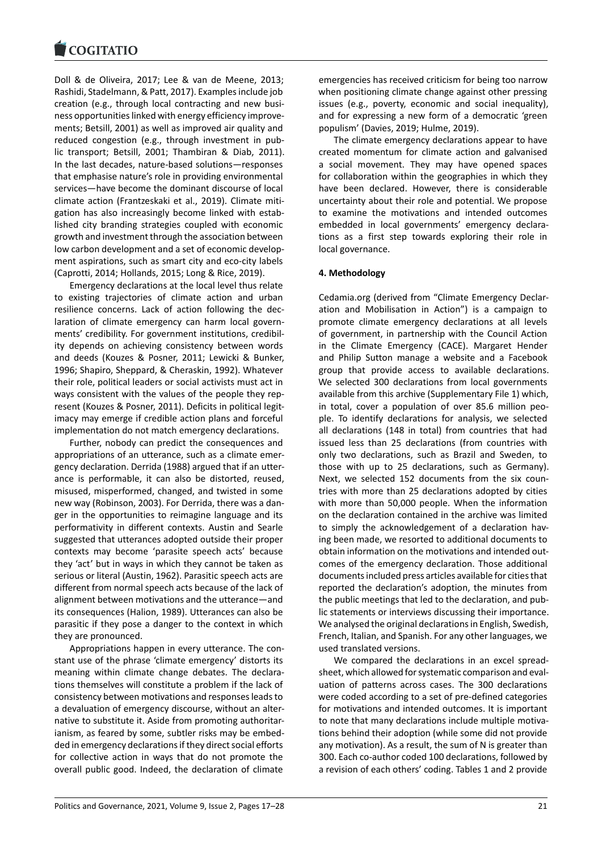#### **LOGITATIO**

Doll & de Oliveira, 2017; Lee & van de Meene, 2013; [Rashidi, Stadelmann,](https://www.cogitatiopress.com) & Patt, 2017). Examples include job creation (e.g., through local contracting and new business opportunities linked with energy efficiency improvements; Betsill, 2001) as well as improved air quality and reduced congestion (e.g., through investment in public transport; Betsill, 2001; Thambiran & Diab, 2011). In the last decades, nature-based solutions—responses that emphasise nature's role in providing environmental services—have become the dominant discourse of local climate action (Frantzeskaki et al., 2019). Climate mitigation has also increasingly become linked with established city branding strategies coupled with economic growth and investment through the association between low carbon development and a set of economic development aspirations, such as smart city and eco-city labels (Caprotti, 2014; Hollands, 2015; Long & Rice, 2019).

Emergency declarations at the local level thus relate to existing trajectories of climate action and urban resilience concerns. Lack of action following the declaration of climate emergency can harm local governments' credibility. For government institutions, credibility depends on achieving consistency between words and deeds (Kouzes & Posner, 2011; Lewicki & Bunker, 1996; Shapiro, Sheppard, & Cheraskin, 1992). Whatever their role, political leaders or social activists must act in ways consistent with the values of the people they represent (Kouzes & Posner, 2011). Deficits in political legitimacy may emerge if credible action plans and forceful implementation do not match emergency declarations.

Further, nobody can predict the consequences and appropriations of an utterance, such as a climate emergency declaration. Derrida (1988) argued that if an utterance is performable, it can also be distorted, reused, misused, misperformed, changed, and twisted in some new way (Robinson, 2003). For Derrida, there was a danger in the opportunities to reimagine language and its performativity in different contexts. Austin and Searle suggested that utterances adopted outside their proper contexts may become 'parasite speech acts' because they 'act' but in ways in which they cannot be taken as serious or literal (Austin, 1962). Parasitic speech acts are different from normal speech acts because of the lack of alignment between motivations and the utterance—and its consequences (Halion, 1989). Utterances can also be parasitic if they pose a danger to the context in which they are pronounced.

Appropriations happen in every utterance. The constant use of the phrase 'climate emergency' distorts its meaning within climate change debates. The declarations themselves will constitute a problem if the lack of consistency between motivations and responses leads to a devaluation of emergency discourse, without an alternative to substitute it. Aside from promoting authoritarianism, as feared by some, subtler risks may be embedded in emergency declarations if they direct social efforts for collective action in ways that do not promote the overall public good. Indeed, the declaration of climate

emergencies has received criticism for being too narrow when positioning climate change against other pressing issues (e.g., poverty, economic and social inequality), and for expressing a new form of a democratic 'green populism' (Davies, 2019; Hulme, 2019).

The climate emergency declarations appear to have created momentum for climate action and galvanised a social movement. They may have opened spaces for collaboration within the geographies in which they have been declared. However, there is considerable uncertainty about their role and potential. We propose to examine the motivations and intended outcomes embedded in local governments' emergency declarations as a first step towards exploring their role in local governance.

# **4. Methodology**

Cedamia.org (derived from "Climate Emergency Declaration and Mobilisation in Action") is a campaign to promote climate emergency declarations at all levels of government, in partnership with the Council Action in the Climate Emergency (CACE). Margaret Hender and Philip Sutton manage a website and a Facebook group that provide access to available declarations. We selected 300 declarations from local governments available from this archive (Supplementary File 1) which, in total, cover a population of over 85.6 million people. To identify declarations for analysis, we selected all declarations (148 in total) from countries that had issued less than 25 declarations (from countries with only two declarations, such as Brazil and Sweden, to those with up to 25 declarations, such as Germany). Next, we selected 152 documents from the six countries with more than 25 declarations adopted by cities with more than 50,000 people. When the information on the declaration contained in the archive was limited to simply the acknowledgement of a declaration having been made, we resorted to additional documents to obtain information on the motivations and intended outcomes of the emergency declaration. Those additional documents included press articles available for cities that reported the declaration's adoption, the minutes from the public meetings that led to the declaration, and public statements or interviews discussing their importance. We analysed the original declarations in English, Swedish, French, Italian, and Spanish. For any other languages, we used translated versions.

We compared the declarations in an excel spreadsheet, which allowed for systematic comparison and evaluation of patterns across cases. The 300 declarations were coded according to a set of pre-defined categories for motivations and intended outcomes. It is important to note that many declarations include multiple motivations behind their adoption (while some did not provide any motivation). As a result, the sum of N is greater than 300. Each co-author coded 100 declarations, followed by a revision of each others' coding. Tables 1 and 2 provide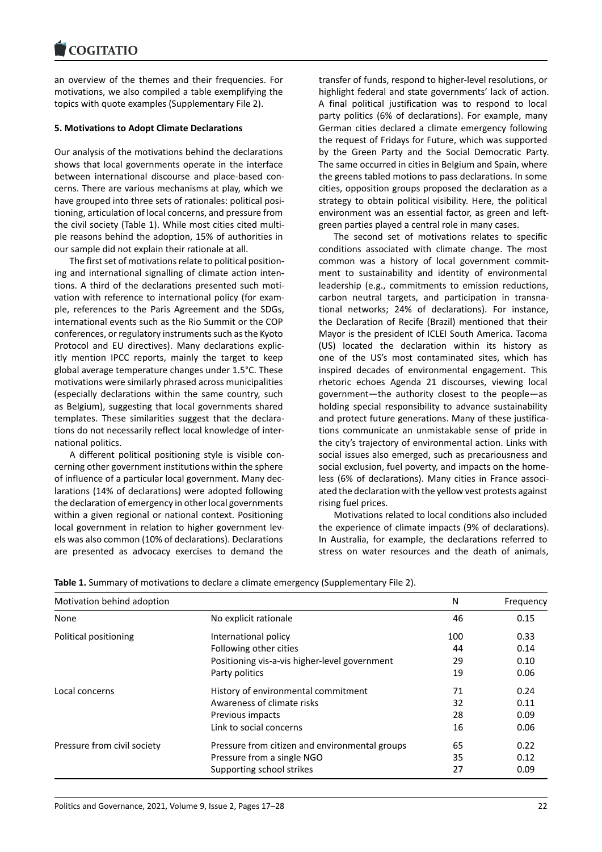an overview of the themes and their frequencies. For [motivations, we also](https://www.cogitatiopress.com) compiled a table exemplifying the topics with quote examples (Supplementary File 2).

# **5. Motivations to Adopt Climate Declarations**

Our analysis of the motivations behind the declarations shows that local governments operate in the interface between international discourse and place-based concerns. There are various mechanisms at play, which we have grouped into three sets of rationales: political positioning, articulation of local concerns, and pressure from the civil society (Table 1). While most cities cited multiple reasons behind the adoption, 15% of authorities in our sample did not explain their rationale at all.

The first set of motivations relate to political positioning and international signalling of climate action intentions. A third of the declarations presented such motivation with reference to international policy (for example, references to the Paris Agreement and the SDGs, international events such as the Rio Summit or the COP conferences, or regulatory instruments such as the Kyoto Protocol and EU directives). Many declarations explicitly mention IPCC reports, mainly the target to keep global average temperature changes under 1.5°C. These motivations were similarly phrased across municipalities (especially declarations within the same country, such as Belgium), suggesting that local governments shared templates. These similarities suggest that the declarations do not necessarily reflect local knowledge of international politics.

A different political positioning style is visible concerning other government institutions within the sphere of influence of a particular local government. Many declarations (14% of declarations) were adopted following the declaration of emergency in other local governments within a given regional or national context. Positioning local government in relation to higher government levels was also common (10% of declarations). Declarations are presented as advocacy exercises to demand the

transfer of funds, respond to higher-level resolutions, or highlight federal and state governments' lack of action. A final political justification was to respond to local party politics (6% of declarations). For example, many German cities declared a climate emergency following the request of Fridays for Future, which was supported by the Green Party and the Social Democratic Party. The same occurred in cities in Belgium and Spain, where the greens tabled motions to pass declarations. In some cities, opposition groups proposed the declaration as a strategy to obtain political visibility. Here, the political environment was an essential factor, as green and leftgreen parties played a central role in many cases.

The second set of motivations relates to specific conditions associated with climate change. The most common was a history of local government commitment to sustainability and identity of environmental leadership (e.g., commitments to emission reductions, carbon neutral targets, and participation in transnational networks; 24% of declarations). For instance, the Declaration of Recife (Brazil) mentioned that their Mayor is the president of ICLEI South America. Tacoma (US) located the declaration within its history as one of the US's most contaminated sites, which has inspired decades of environmental engagement. This rhetoric echoes Agenda 21 discourses, viewing local government—the authority closest to the people—as holding special responsibility to advance sustainability and protect future generations. Many of these justifications communicate an unmistakable sense of pride in the city's trajectory of environmental action. Links with social issues also emerged, such as precariousness and social exclusion, fuel poverty, and impacts on the homeless (6% of declarations). Many cities in France associated the declaration with the yellow vest protests against rising fuel prices.

Motivations related to local conditions also included the experience of climate impacts (9% of declarations). In Australia, for example, the declarations referred to stress on water resources and the death of animals,

| Motivation behind adoption  |                                                | N   | Frequency |
|-----------------------------|------------------------------------------------|-----|-----------|
| None                        | No explicit rationale                          | 46  | 0.15      |
| Political positioning       | International policy                           | 100 | 0.33      |
|                             | Following other cities                         | 44  | 0.14      |
|                             | Positioning vis-a-vis higher-level government  | 29  | 0.10      |
|                             | Party politics                                 | 19  | 0.06      |
| Local concerns              | History of environmental commitment            | 71  | 0.24      |
|                             | Awareness of climate risks                     | 32  | 0.11      |
|                             | Previous impacts                               | 28  | 0.09      |
|                             | Link to social concerns                        | 16  | 0.06      |
| Pressure from civil society | Pressure from citizen and environmental groups | 65  | 0.22      |
|                             | Pressure from a single NGO                     | 35  | 0.12      |
|                             | Supporting school strikes                      | 27  | 0.09      |

**Table 1.** Summary of motivations to declare a climate emergency (Supplementary File 2).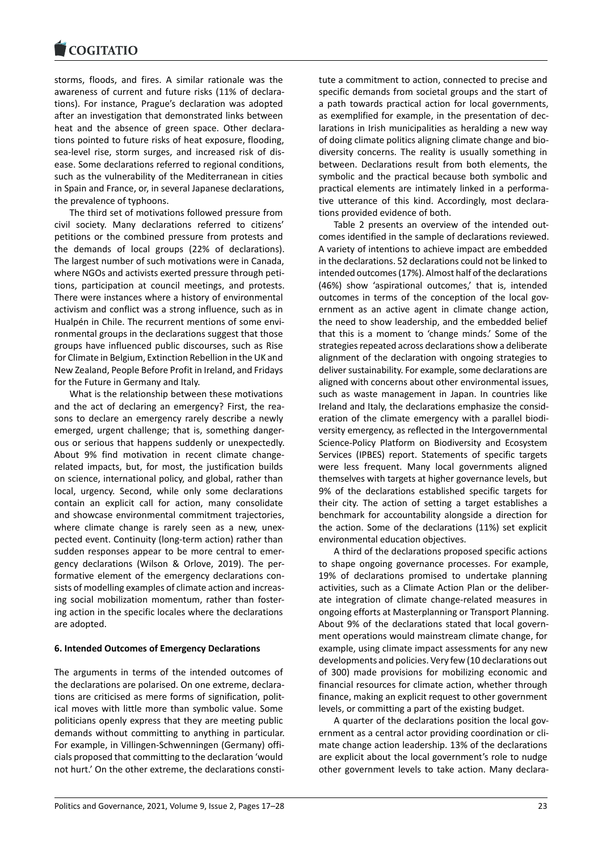#### **LOGITATIO**

storms, floods, and fires. A similar rationale was the [awareness of curren](https://www.cogitatiopress.com)t and future risks (11% of declarations). For instance, Prague's declaration was adopted after an investigation that demonstrated links between heat and the absence of green space. Other declarations pointed to future risks of heat exposure, flooding, sea-level rise, storm surges, and increased risk of disease. Some declarations referred to regional conditions, such as the vulnerability of the Mediterranean in cities in Spain and France, or, in several Japanese declarations, the prevalence of typhoons.

The third set of motivations followed pressure from civil society. Many declarations referred to citizens' petitions or the combined pressure from protests and the demands of local groups (22% of declarations). The largest number of such motivations were in Canada, where NGOs and activists exerted pressure through petitions, participation at council meetings, and protests. There were instances where a history of environmental activism and conflict was a strong influence, such as in Hualpén in Chile. The recurrent mentions of some environmental groups in the declarations suggest that those groups have influenced public discourses, such as Rise for Climate in Belgium, Extinction Rebellion in the UK and New Zealand, People Before Profit in Ireland, and Fridays for the Future in Germany and Italy.

What is the relationship between these motivations and the act of declaring an emergency? First, the reasons to declare an emergency rarely describe a newly emerged, urgent challenge; that is, something dangerous or serious that happens suddenly or unexpectedly. About 9% find motivation in recent climate changerelated impacts, but, for most, the justification builds on science, international policy, and global, rather than local, urgency. Second, while only some declarations contain an explicit call for action, many consolidate and showcase environmental commitment trajectories, where climate change is rarely seen as a new, unexpected event. Continuity (long-term action) rather than sudden responses appear to be more central to emergency declarations (Wilson & Orlove, 2019). The performative element of the emergency declarations consists of modelling examples of climate action and increasing social mobilization momentum, rather than fostering action in the specific locales where the declarations are adopted.

### **6. Intended Outcomes of Emergency Declarations**

The arguments in terms of the intended outcomes of the declarations are polarised. On one extreme, declarations are criticised as mere forms of signification, political moves with little more than symbolic value. Some politicians openly express that they are meeting public demands without committing to anything in particular. For example, in Villingen-Schwenningen (Germany) officials proposed that committing to the declaration 'would not hurt.' On the other extreme, the declarations constitute a commitment to action, connected to precise and specific demands from societal groups and the start of a path towards practical action for local governments, as exemplified for example, in the presentation of declarations in Irish municipalities as heralding a new way of doing climate politics aligning climate change and biodiversity concerns. The reality is usually something in between. Declarations result from both elements, the symbolic and the practical because both symbolic and practical elements are intimately linked in a performative utterance of this kind. Accordingly, most declarations provided evidence of both.

Table 2 presents an overview of the intended outcomes identified in the sample of declarations reviewed. A variety of intentions to achieve impact are embedded in the declarations. 52 declarations could not be linked to intended outcomes (17%). Almost half of the declarations (46%) show 'aspirational outcomes,' that is, intended outcomes in terms of the conception of the local government as an active agent in climate change action, the need to show leadership, and the embedded belief that this is a moment to 'change minds.' Some of the strategies repeated across declarations show a deliberate alignment of the declaration with ongoing strategies to deliver sustainability. For example, some declarations are aligned with concerns about other environmental issues, such as waste management in Japan. In countries like Ireland and Italy, the declarations emphasize the consideration of the climate emergency with a parallel biodiversity emergency, as reflected in the Intergovernmental Science-Policy Platform on Biodiversity and Ecosystem Services (IPBES) report. Statements of specific targets were less frequent. Many local governments aligned themselves with targets at higher governance levels, but 9% of the declarations established specific targets for their city. The action of setting a target establishes a benchmark for accountability alongside a direction for the action. Some of the declarations (11%) set explicit environmental education objectives.

A third of the declarations proposed specific actions to shape ongoing governance processes. For example, 19% of declarations promised to undertake planning activities, such as a Climate Action Plan or the deliberate integration of climate change-related measures in ongoing efforts at Masterplanning or Transport Planning. About 9% of the declarations stated that local government operations would mainstream climate change, for example, using climate impact assessments for any new developments and policies. Very few (10 declarations out of 300) made provisions for mobilizing economic and financial resources for climate action, whether through finance, making an explicit request to other government levels, or committing a part of the existing budget.

A quarter of the declarations position the local government as a central actor providing coordination or climate change action leadership. 13% of the declarations are explicit about the local government's role to nudge other government levels to take action. Many declara-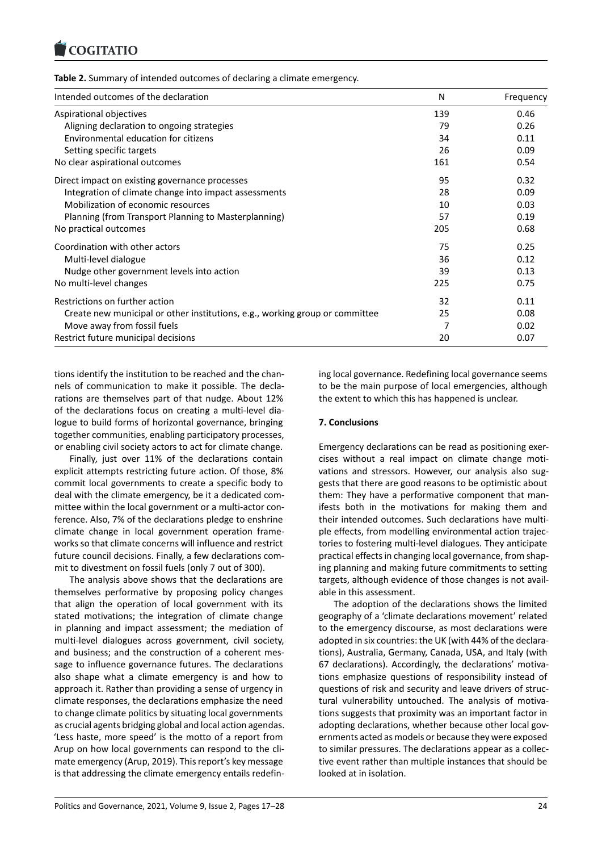### **Table 2.** Summary of intended outcomes of declaring a climate emergency.

| Intended outcomes of the declaration                                         | N   | Frequency |
|------------------------------------------------------------------------------|-----|-----------|
| Aspirational objectives                                                      | 139 | 0.46      |
| Aligning declaration to ongoing strategies                                   | 79  | 0.26      |
| Environmental education for citizens                                         | 34  | 0.11      |
| Setting specific targets                                                     | 26  | 0.09      |
| No clear aspirational outcomes                                               | 161 | 0.54      |
| Direct impact on existing governance processes                               | 95  | 0.32      |
| Integration of climate change into impact assessments                        | 28  | 0.09      |
| Mobilization of economic resources                                           | 10  | 0.03      |
| Planning (from Transport Planning to Masterplanning)                         | 57  | 0.19      |
| No practical outcomes                                                        | 205 | 0.68      |
| Coordination with other actors                                               | 75  | 0.25      |
| Multi-level dialogue                                                         | 36  | 0.12      |
| Nudge other government levels into action                                    | 39  | 0.13      |
| No multi-level changes                                                       | 225 | 0.75      |
| Restrictions on further action                                               | 32  | 0.11      |
| Create new municipal or other institutions, e.g., working group or committee | 25  | 0.08      |
| Move away from fossil fuels                                                  | 7   | 0.02      |
| Restrict future municipal decisions                                          | 20  | 0.07      |

tions identify the institution to be reached and the channels of communication to make it possible. The declarations are themselves part of that nudge. About 12% of the declarations focus on creating a multi-level dialogue to build forms of horizontal governance, bringing together communities, enabling participatory processes, or enabling civil society actors to act for climate change.

Finally, just over 11% of the declarations contain explicit attempts restricting future action. Of those, 8% commit local governments to create a specific body to deal with the climate emergency, be it a dedicated committee within the local government or a multi-actor conference. Also, 7% of the declarations pledge to enshrine climate change in local government operation frameworks so that climate concerns will influence and restrict future council decisions. Finally, a few declarations commit to divestment on fossil fuels (only 7 out of 300).

The analysis above shows that the declarations are themselves performative by proposing policy changes that align the operation of local government with its stated motivations; the integration of climate change in planning and impact assessment; the mediation of multi-level dialogues across government, civil society, and business; and the construction of a coherent message to influence governance futures. The declarations also shape what a climate emergency is and how to approach it. Rather than providing a sense of urgency in climate responses, the declarations emphasize the need to change climate politics by situating local governments as crucial agents bridging global and local action agendas. 'Less haste, more speed' is the motto of a report from Arup on how local governments can respond to the climate emergency (Arup, 2019). This report's key message is that addressing the climate emergency entails redefining local governance. Redefining local governance seems to be the main purpose of local emergencies, although the extent to which this has happened is unclear.

### **7. Conclusions**

Emergency declarations can be read as positioning exercises without a real impact on climate change motivations and stressors. However, our analysis also suggests that there are good reasons to be optimistic about them: They have a performative component that manifests both in the motivations for making them and their intended outcomes. Such declarations have multiple effects, from modelling environmental action trajectories to fostering multi-level dialogues. They anticipate practical effects in changing local governance, from shaping planning and making future commitments to setting targets, although evidence of those changes is not available in this assessment.

The adoption of the declarations shows the limited geography of a 'climate declarations movement' related to the emergency discourse, as most declarations were adopted in six countries: the UK (with 44% of the declarations), Australia, Germany, Canada, USA, and Italy (with 67 declarations). Accordingly, the declarations' motivations emphasize questions of responsibility instead of questions of risk and security and leave drivers of structural vulnerability untouched. The analysis of motivations suggests that proximity was an important factor in adopting declarations, whether because other local governments acted as models or because they were exposed to similar pressures. The declarations appear as a collective event rather than multiple instances that should be looked at in isolation.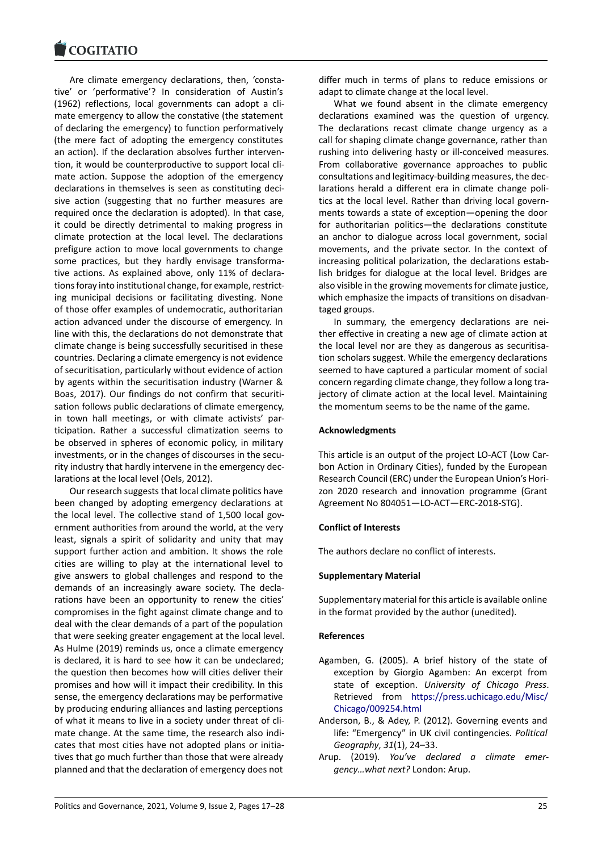#### **LOGITATIO**

Are climate emergency declarations, then, 'consta[tive' or 'performati](https://www.cogitatiopress.com)ve'? In consideration of Austin's (1962) reflections, local governments can adopt a climate emergency to allow the constative (the statement of declaring the emergency) to function performatively (the mere fact of adopting the emergency constitutes an action). If the declaration absolves further intervention, it would be counterproductive to support local climate action. Suppose the adoption of the emergency declarations in themselves is seen as constituting decisive action (suggesting that no further measures are required once the declaration is adopted). In that case, it could be directly detrimental to making progress in climate protection at the local level. The declarations prefigure action to move local governments to change some practices, but they hardly envisage transformative actions. As explained above, only 11% of declarations foray into institutional change, for example, restricting municipal decisions or facilitating divesting. None of those offer examples of undemocratic, authoritarian action advanced under the discourse of emergency. In line with this, the declarations do not demonstrate that climate change is being successfully securitised in these countries. Declaring a climate emergency is not evidence of securitisation, particularly without evidence of action by agents within the securitisation industry (Warner & Boas, 2017). Our findings do not confirm that securitisation follows public declarations of climate emergency, in town hall meetings, or with climate activists' participation. Rather a successful climatization seems to be observed in spheres of economic policy, in military investments, or in the changes of discourses in the security industry that hardly intervene in the emergency declarations at the local level (Oels, 2012).

Our research suggests that local climate politics have been changed by adopting emergency declarations at the local level. The collective stand of 1,500 local government authorities from around the world, at the very least, signals a spirit of solidarity and unity that may support further action and ambition. It shows the role cities are willing to play at the international level to give answers to global challenges and respond to the demands of an increasingly aware society. The declarations have been an opportunity to renew the cities' compromises in the fight against climate change and to deal with the clear demands of a part of the population that were seeking greater engagement at the local level. As Hulme (2019) reminds us, once a climate emergency is declared, it is hard to see how it can be undeclared; the question then becomes how will cities deliver their promises and how will it impact their credibility. In this sense, the emergency declarations may be performative by producing enduring alliances and lasting perceptions of what it means to live in a society under threat of climate change. At the same time, the research also indicates that most cities have not adopted plans or initiatives that go much further than those that were already planned and that the declaration of emergency does not

differ much in terms of plans to reduce emissions or adapt to climate change at the local level.

What we found absent in the climate emergency declarations examined was the question of urgency. The declarations recast climate change urgency as a call for shaping climate change governance, rather than rushing into delivering hasty or ill-conceived measures. From collaborative governance approaches to public consultations and legitimacy-building measures, the declarations herald a different era in climate change politics at the local level. Rather than driving local governments towards a state of exception—opening the door for authoritarian politics—the declarations constitute an anchor to dialogue across local government, social movements, and the private sector. In the context of increasing political polarization, the declarations establish bridges for dialogue at the local level. Bridges are also visible in the growing movements for climate justice, which emphasize the impacts of transitions on disadvantaged groups.

In summary, the emergency declarations are neither effective in creating a new age of climate action at the local level nor are they as dangerous as securitisation scholars suggest. While the emergency declarations seemed to have captured a particular moment of social concern regarding climate change, they follow a long trajectory of climate action at the local level. Maintaining the momentum seems to be the name of the game.

### **Acknowledgments**

This article is an output of the project LO-ACT (Low Carbon Action in Ordinary Cities), funded by the European Research Council (ERC) under the European Union's Horizon 2020 research and innovation programme (Grant Agreement No 804051—LO-ACT—ERC-2018-STG).

#### **Conflict of Interests**

The authors declare no conflict of interests.

#### **Supplementary Material**

Supplementary material for this article is available online in the format provided by the author (unedited).

#### **References**

- Agamben, G. (2005). A brief history of the state of exception by Giorgio Agamben: An excerpt from state of exception. *University of Chicago Press*. Retrieved from https://press.uchicago.edu/Misc/ Chicago/009254.html
- Anderson, B., & Adey, P. (2012). Governing events and life: "Emergency" in UK civil contingencies*. Political Geography*, *31*(1), [24–33.](https://press.uchicago.edu/Misc/Chicago/009254.html)
- Aru[p. \(2019\).](https://press.uchicago.edu/Misc/Chicago/009254.html) *You've declared a climate emergency…what next?* London: Arup.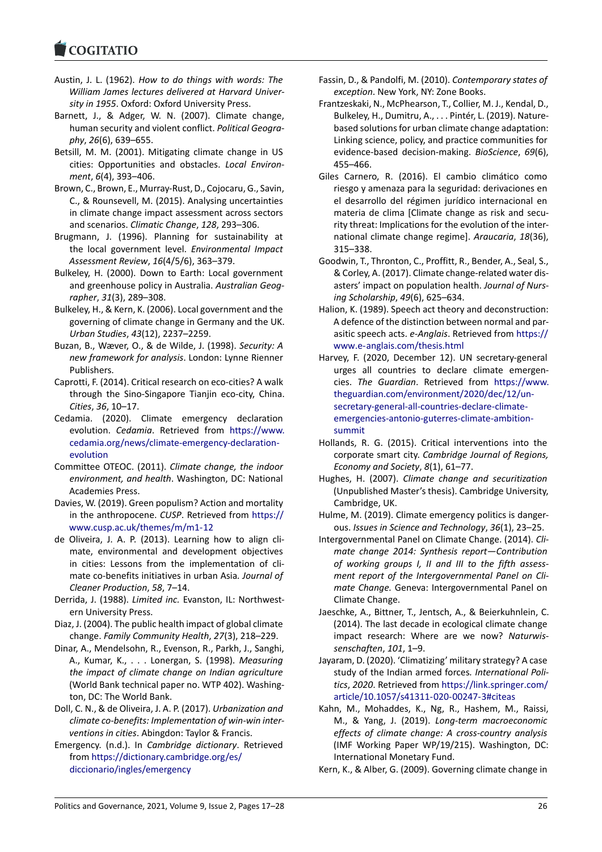#### **COMMITMENT**

- Austin, J. L. (1962). *How to do things with words: The [William James le](https://www.cogitatiopress.com)ctures delivered at Harvard University in 1955*. Oxford: Oxford University Press.
- Barnett, J., & Adger, W. N. (2007). Climate change, human security and violent conflict. *Political Geography*, *26*(6), 639–655.
- Betsill, M. M. (2001). Mitigating climate change in US cities: Opportunities and obstacles. *Local Environment*, *6*(4), 393–406.
- Brown, C., Brown, E., Murray-Rust, D., Cojocaru, G., Savin, C., & Rounsevell, M. (2015). Analysing uncertainties in climate change impact assessment across sectors and scenarios. *Climatic Change*, *128*, 293–306.
- Brugmann, J. (1996). Planning for sustainability at the local government level. *Environmental Impact Assessment Review*, *16*(4/5/6), 363–379.
- Bulkeley, H. (2000). Down to Earth: Local government and greenhouse policy in Australia. *Australian Geographer*, *31*(3), 289–308.
- Bulkeley, H., & Kern, K. (2006). Local government and the governing of climate change in Germany and the UK. *Urban Studies*, *43*(12), 2237–2259.
- Buzan, B., Wæver, O., & de Wilde, J. (1998). *Security: A new framework for analysis*. London: Lynne Rienner Publishers.
- Caprotti, F. (2014). Critical research on eco-cities? A walk through the Sino-Singapore Tianjin eco-city, China. *Cities*, *36*, 10–17.
- Cedamia. (2020). Climate emergency declaration evolution. *Cedamia*. Retrieved from https://www. cedamia.org/news/climate-emergency-declarationevolution
- Committee OTEOC. (2011). *Climate change, the indoor environment, and health*. Washington, [DC: National](https://www.cedamia.org/news/climate-emergency-declaration-evolution) [Academies Press.](https://www.cedamia.org/news/climate-emergency-declaration-evolution)
- Da[vies, W. \(20](https://www.cedamia.org/news/climate-emergency-declaration-evolution)19). Green populism? Action and mortality in the anthropocene. *CUSP*. Retrieved from https:// www.cusp.ac.uk/themes/m/m1-12
- de Oliveira, J. A. P. (2013). Learning how to align climate, environmental and development objectives in cities: Lessons from the implementatio[n of cli](https://www.cusp.ac.uk/themes/m/m1-12)[mate co-benefits initiatives in urban](https://www.cusp.ac.uk/themes/m/m1-12) Asia*. Journal of Cleaner Production*, *58*, 7–14.
- Derrida, J. (1988). *Limited inc.* Evanston, IL: Northwestern University Press.
- Diaz, J. (2004). The public health impact of global climate change. *Family Community Health*, *27*(3), 218–229.
- Dinar, A., Mendelsohn, R., Evenson, R., Parkh, J., Sanghi, A., Kumar, K., . . . Lonergan, S. (1998). *Measuring the impact of climate change on Indian agriculture* (World Bank technical paper no. WTP 402). Washington, DC: The World Bank.
- Doll, C. N., & de Oliveira, J. A. P. (2017). *Urbanization and climate co-benefits: Implementation of win-win interventions in cities*. Abingdon: Taylor & Francis.
- Emergency. (n.d.). In *Cambridge dictionary*. Retrieved from https://dictionary.cambridge.org/es/ diccionario/ingles/emergency
- Fassin, D., & Pandolfi, M. (2010). *Contemporary states of exception*. New York, NY: Zone Books.
- Frantzeskaki, N., McPhearson, T., Collier, M. J., Kendal, D., Bulkeley, H., Dumitru, A., . . . Pintér, L. (2019). Naturebased solutions for urban climate change adaptation: Linking science, policy, and practice communities for evidence-based decision-making. *BioScience*, *69*(6), 455–466.
- Giles Carnero, R. (2016). El cambio climático como riesgo y amenaza para la seguridad: derivaciones en el desarrollo del régimen jurídico internacional en materia de clima [Climate change as risk and security threat: Implications for the evolution of the international climate change regime]. *Araucaria*, *18*(36), 315–338.
- Goodwin, T., Thronton, C., Proffitt, R., Bender, A., Seal, S., & Corley, A. (2017). Climate change-related water disasters' impact on population health. *Journal of Nursing Scholarship*, *49*(6), 625–634.
- Halion, K. (1989). Speech act theory and deconstruction: A defence of the distinction between normal and parasitic speech acts. *e-Anglais*. Retrieved from https:// www.e-anglais.com/thesis.html
- Harvey, F. (2020, December 12). UN secretary-general urges all countries to declare climate emergencies. *The Guardian*. Retrieved from https[://www.](https://www.e-anglais.com/thesis.html) [theguardian.com/environment/2](https://www.e-anglais.com/thesis.html)020/dec/12/unsecretary-general-all-countries-declare-climateemergencies-antonio-guterres-climate-ambitionsummit
- Hol[lands, R. G. \(2015\). Critical interventions into t](https://www.theguardian.com/environment/2020/dec/12/un-secretary-general-all-countries-declare-climate-emergencies-antonio-guterres-climate-ambition-summit)he corporate smart city. *[Cambridge Journal of Reg](https://www.theguardian.com/environment/2020/dec/12/un-secretary-general-all-countries-declare-climate-emergencies-antonio-guterres-climate-ambition-summit)ions, [Economy and Society](https://www.theguardian.com/environment/2020/dec/12/un-secretary-general-all-countries-declare-climate-emergencies-antonio-guterres-climate-ambition-summit)*, *8*(1), 61–77.
- Hu[ghes, H.](https://www.theguardian.com/environment/2020/dec/12/un-secretary-general-all-countries-declare-climate-emergencies-antonio-guterres-climate-ambition-summit) (2007). *Climate change and securitization* (Unpublished Master's thesis). Cambridge University, Cambridge, UK.
- Hulme, M. (2019). Climate emergency politics is dangerous. *Issues in Science and Technology*, *36*(1), 23–25.
- Intergovernmental Panel on Climate Change. (2014). *Climate change 2014: Synthesis report—Contribution of working groups I, II and III to the fifth assessment report of the Intergovernmental Panel on Climate Change.* Geneva: Intergovernmental Panel on Climate Change.
- Jaeschke, A., Bittner, T., Jentsch, A., & Beierkuhnlein, C. (2014). The last decade in ecological climate change impact research: Where are we now? *Naturwissenschaften*, *101*, 1–9.
- Jayaram, D. (2020). 'Climatizing' military strategy? A case study of the Indian armed forces*. International Politics*, *2020*. Retrieved from https://link.springer.com/ article/10.1057/s41311-020-00247-3#citeas
- Kahn, M., Mohaddes, K., Ng, R., Hashem, M., Raissi, M., & Yang, J. (2019). *Long-term macroeconomic effects of climate change[: A cross-country analysis](https://link.springer.com/article/10.1057/s41311-020-00247-3#citeas)* [\(IMF Working Paper WP/19/215\). Washingt](https://link.springer.com/article/10.1057/s41311-020-00247-3#citeas)on, DC: International Monetary Fund.
- Kern, K., & Alber, G. (2009). Governing climate change in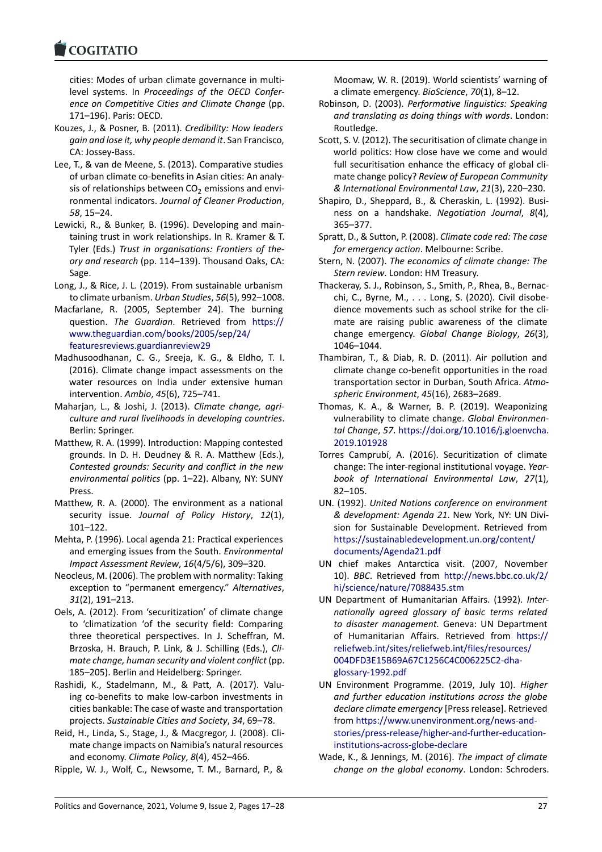cities: Modes of urban climate governance in multi[level systems. In](https://www.cogitatiopress.com) *Proceedings of the OECD Conference on Competitive Cities and Climate Change* (pp. 171–196). Paris: OECD.

- Kouzes, J., & Posner, B. (2011). *Credibility: How leaders gain and lose it, why people demand it*. San Francisco, CA: Jossey-Bass.
- Lee, T., & van de Meene, S. (2013). Comparative studies of urban climate co-benefits in Asian cities: An analysis of relationships between  $CO<sub>2</sub>$  emissions and environmental indicators. *Journal of Cleaner Production*, *58*, 15–24.
- Lewicki, R., & Bunker, B. (1996). Developing and maintaining trust in work relationships. In R. Kramer & T. Tyler (Eds.) *Trust in organisations: Frontiers of theory and research* (pp. 114–139). Thousand Oaks, CA: Sage.
- Long, J., & Rice, J. L. (2019). From sustainable urbanism to climate urbanism. *Urban Studies*, *56*(5), 992–1008.
- Macfarlane, R. (2005, September 24). The burning question. *The Guardian*. Retrieved from https:// www.theguardian.com/books/2005/sep/24/ featuresreviews.guardianreview29
- Madhusoodhanan, C. G., Sreeja, K. G., & Eldho, T. I. (2016). Climate change impact assessments [on the](https://www.theguardian.com/books/2005/sep/24/featuresreviews.guardianreview29) [water resources on India under extensive](https://www.theguardian.com/books/2005/sep/24/featuresreviews.guardianreview29) human [intervention.](https://www.theguardian.com/books/2005/sep/24/featuresreviews.guardianreview29) *Ambio*, *45*(6), 725–741.
- Maharjan, L., & Joshi, J. (2013). *Climate change, agriculture and rural livelihoods in developing countries*. Berlin: Springer.
- Matthew, R. A. (1999). Introduction: Mapping contested grounds. In D. H. Deudney & R. A. Matthew (Eds.), *Contested grounds: Security and conflict in the new environmental politics* (pp. 1–22). Albany, NY: SUNY Press.
- Matthew, R. A. (2000). The environment as a national security issue. *Journal of Policy History*, *12*(1), 101–122.
- Mehta, P. (1996). Local agenda 21: Practical experiences and emerging issues from the South. *Environmental Impact Assessment Review*, *16*(4/5/6), 309–320.
- Neocleus, M. (2006). The problem with normality: Taking exception to "permanent emergency." *Alternatives*, *31*(2), 191–213.
- Oels, A. (2012). From 'securitization' of climate change to 'climatization 'of the security field: Comparing three theoretical perspectives. In J. Scheffran, M. Brzoska, H. Brauch, P. Link, & J. Schilling (Eds.), *Climate change, human security and violent conflict* (pp. 185–205). Berlin and Heidelberg: Springer.
- Rashidi, K., Stadelmann, M., & Patt, A. (2017). Valuing co-benefits to make low-carbon investments in cities bankable: The case of waste and transportation projects. *Sustainable Cities and Society*, *34*, 69–78.
- Reid, H., Linda, S., Stage, J., & Macgregor, J. (2008). Climate change impacts on Namibia's natural resources and economy. *Climate Policy*, *8*(4), 452–466.
- Ripple, W. J., Wolf, C., Newsome, T. M., Barnard, P., &

Moomaw, W. R. (2019). World scientists' warning of a climate emergency. *BioScience*, *70*(1), 8–12.

- Robinson, D. (2003). *Performative linguistics: Speaking and translating as doing things with words*. London: Routledge.
- Scott, S. V. (2012). The securitisation of climate change in world politics: How close have we come and would full securitisation enhance the efficacy of global climate change policy? *Review of European Community & International Environmental Law*, *21*(3), 220–230.
- Shapiro, D., Sheppard, B., & Cheraskin, L. (1992). Business on a handshake. *Negotiation Journal*, *8*(4), 365–377.
- Spratt, D., & Sutton, P. (2008). *Climate code red: The case for emergency action*. Melbourne: Scribe.
- Stern, N. (2007). *The economics of climate change: The Stern review*. London: HM Treasury.
- Thackeray, S. J., Robinson, S., Smith, P., Rhea, B., Bernacchi, C., Byrne, M., . . . Long, S. (2020). Civil disobedience movements such as school strike for the climate are raising public awareness of the climate change emergency. *Global Change Biology*, *26*(3), 1046–1044.
- Thambiran, T., & Diab, R. D. (2011). Air pollution and climate change co-benefit opportunities in the road transportation sector in Durban, South Africa. *Atmospheric Environment*, *45*(16), 2683–2689.
- Thomas, K. A., & Warner, B. P. (2019). Weaponizing vulnerability to climate change. *Global Environmental Change*, *57*. https://doi.org/10.1016/j.gloenvcha. 2019.101928
- Torres Camprubí, A. (2016). Securitization of climate change: The inter-regional institutional voyage. *Yearbook of Inter[national Environmental Law](https://doi.org/10.1016/j.gloenvcha.2019.101928)*, *27*(1), [82–105.](https://doi.org/10.1016/j.gloenvcha.2019.101928)
- UN. (1992). *United Nations conference on environment & development: Agenda 21*. New York, NY: UN Division for Sustainable Development. Retrieved from https://sustainabledevelopment.un.org/content/ documents/Agenda21.pdf
- UN chief makes Antarctica visit. (2007, November 10). *BBC*. Retrieved from http://news.bbc.co.uk/2/ [hi/science/nature/7088435.stm](https://sustainabledevelopment.un.org/content/documents/Agenda21.pdf)
- UN [Department of Humanita](https://sustainabledevelopment.un.org/content/documents/Agenda21.pdf)rian Affairs. (1992). *Internationally agreed glossary of basic terms related to disaster management.* [Geneva: UN Department](http://news.bbc.co.uk/2/hi/science/nature/7088435.stm) [of Humanitarian Affairs. Retri](http://news.bbc.co.uk/2/hi/science/nature/7088435.stm)eved from https:// reliefweb.int/sites/reliefweb.int/files/resources/ 004DFD3E15B69A67C1256C4C006225C2-dhaglossary-1992.pdf
- UN Environment Programme. (2019, July 10). *[Higher](https://reliefweb.int/sites/reliefweb.int/files/resources/004DFD3E15B69A67C1256C4C006225C2-dha-glossary-1992.pdf) [and further education institutions across the gl](https://reliefweb.int/sites/reliefweb.int/files/resources/004DFD3E15B69A67C1256C4C006225C2-dha-glossary-1992.pdf)obe [declare climate emergency](https://reliefweb.int/sites/reliefweb.int/files/resources/004DFD3E15B69A67C1256C4C006225C2-dha-glossary-1992.pdf)* [Press release]. Retrieved from [https://www](https://reliefweb.int/sites/reliefweb.int/files/resources/004DFD3E15B69A67C1256C4C006225C2-dha-glossary-1992.pdf).unenvironment.org/news-andstories/press-release/higher-and-further-educationinstitutions-across-globe-declare
- Wade, K., & Jennings, M. (2016). *The impact of climate chan[ge on the global economy](https://www.unenvironment.org/news-and-stories/press-release/higher-and-further-education-institutions-across-globe-declare)*. London: Schroders.